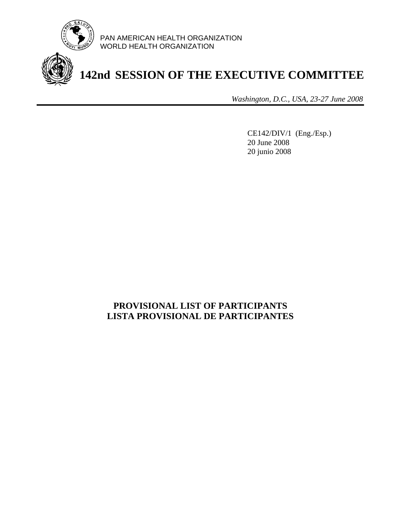

PAN AMERICAN HEALTH ORGANIZATION WORLD HEALTH ORGANIZATION

**142nd SESSION OF THE EXECUTIVE COMMITTEE**

*Washington, D.C., USA, 23-27 June 2008*

CE142/DIV/1 (Eng./Esp.) 20 June 2008 20 junio 2008

# **PROVISIONAL LIST OF PARTICIPANTS LISTA PROVISIONAL DE PARTICIPANTES**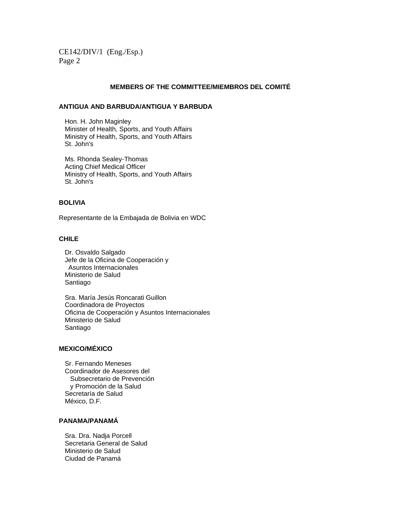## **MEMBERS OF THE COMMITTEE/MIEMBROS DEL COMITÉ**

## **ANTIGUA AND BARBUDA/ANTIGUA Y BARBUDA**

 Hon. H. John Maginley Minister of Health, Sports, and Youth Affairs Ministry of Health, Sports, and Youth Affairs St. John's

 Ms. Rhonda Sealey-Thomas Acting Chief Medical Officer Ministry of Health, Sports, and Youth Affairs St. John's

# **BOLIVIA**

Representante de la Embajada de Bolivia en WDC

# **CHILE**

 Dr. Osvaldo Salgado Jefe de la Oficina de Cooperación y Asuntos Internacionales Ministerio de Salud Santiago

 Sra. María Jesús Roncarati Guillon Coordinadora de Proyectos Oficina de Cooperación y Asuntos Internacionales Ministerio de Salud Santiago

# **MEXICO/MÉXICO**

 Sr. Fernando Meneses Coordinador de Asesores del Subsecretario de Prevención y Promoción de la Salud Secretaría de Salud México, D.F.

# **PANAMA/PANAMÁ**

 Sra. Dra. Nadja Porcell Secretaria General de Salud Ministerio de Salud Ciudad de Panamá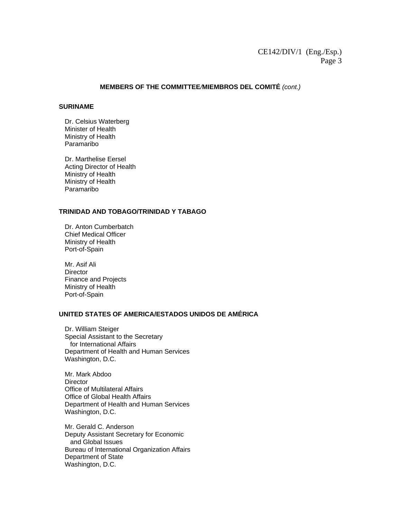# **MEMBERS OF THE COMMITTEE***/***MIEMBROS DEL COMITÉ** *(cont.)*

#### **SURINAME**

Dr. Celsius Waterberg Minister of Health Ministry of Health Paramaribo

 Dr. Marthelise Eersel Acting Director of Health Ministry of Health Ministry of Health Paramaribo

# **TRINIDAD AND TOBAGO/TRINIDAD Y TABAGO**

Dr. Anton Cumberbatch Chief Medical Officer Ministry of Health Port-of-Spain

Mr. Asif Ali **Director** Finance and Projects Ministry of Health Port-of-Spain

# **UNITED STATES OF AMERICA/ESTADOS UNIDOS DE AMÉRICA**

Dr. William Steiger Special Assistant to the Secretary for International Affairs Department of Health and Human Services Washington, D.C.

Mr. Mark Abdoo **Director** Office of Multilateral Affairs Office of Global Health Affairs Department of Health and Human Services Washington, D.C.

Mr. Gerald C. Anderson Deputy Assistant Secretary for Economic and Global Issues Bureau of International Organization Affairs Department of State Washington, D.C.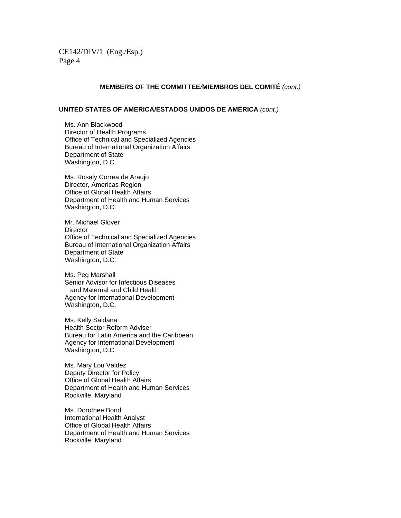# **MEMBERS OF THE COMMITTEE***/***MIEMBROS DEL COMITÉ** *(cont.)*

# **UNITED STATES OF AMERICA/ESTADOS UNIDOS DE AMÉRICA** *(cont.)*

Ms. Ann Blackwood Director of Health Programs Office of Technical and Specialized Agencies Bureau of International Organization Affairs Department of State Washington, D.C.

Ms. Rosaly Correa de Araujo Director, Americas Region Office of Global Health Affairs Department of Health and Human Services Washington, D.C.

Mr. Michael Glover **Director** Office of Technical and Specialized Agencies Bureau of International Organization Affairs Department of State Washington, D.C.

Ms. Peg Marshall Senior Advisor for Infectious Diseases and Maternal and Child Health Agency for International Development Washington, D.C.

Ms. Kelly Saldana Health Sector Reform Adviser Bureau for Latin America and the Caribbean Agency for International Development Washington, D.C.

Ms. Mary Lou Valdez Deputy Director for Policy Office of Global Health Affairs Department of Health and Human Services Rockville, Maryland

Ms. Dorothee Bond International Health Analyst Office of Global Health Affairs Department of Health and Human Services Rockville, Maryland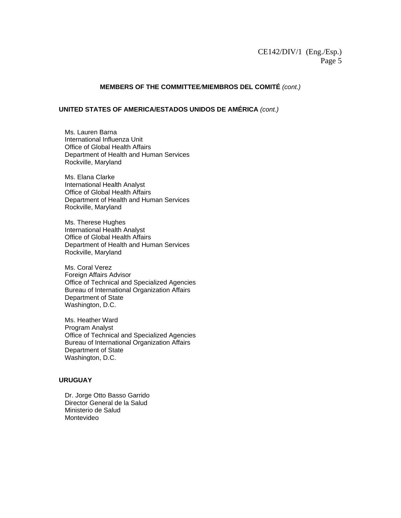# **MEMBERS OF THE COMMITTEE***/***MIEMBROS DEL COMITÉ** *(cont.)*

# **UNITED STATES OF AMERICA/ESTADOS UNIDOS DE AMÉRICA** *(cont.)*

Ms. Lauren Barna International Influenza Unit Office of Global Health Affairs Department of Health and Human Services Rockville, Maryland

Ms. Elana Clarke International Health Analyst Office of Global Health Affairs Department of Health and Human Services Rockville, Maryland

Ms. Therese Hughes International Health Analyst Office of Global Health Affairs Department of Health and Human Services Rockville, Maryland

Ms. Coral Verez Foreign Affairs Advisor Office of Technical and Specialized Agencies Bureau of International Organization Affairs Department of State Washington, D.C.

Ms. Heather Ward Program Analyst Office of Technical and Specialized Agencies Bureau of International Organization Affairs Department of State Washington, D.C.

#### **URUGUAY**

 Dr. Jorge Otto Basso Garrido Director General de la Salud Ministerio de Salud Montevideo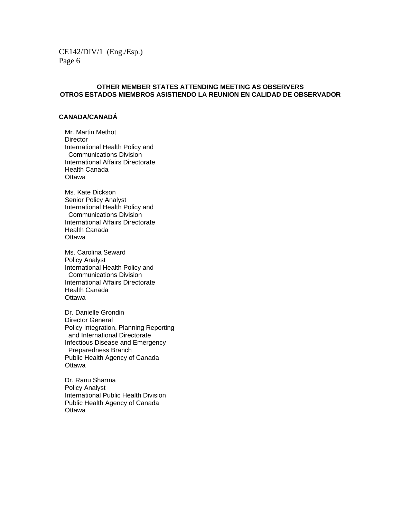# **OTHER MEMBER STATES ATTENDING MEETING AS OBSERVERS OTROS ESTADOS MIEMBROS ASISTIENDO LA REUNION EN CALIDAD DE OBSERVADOR**

# **CANADA/CANADÁ**

 Mr. Martin Methot **Director**  International Health Policy and Communications Division International Affairs Directorate Health Canada **Ottawa** 

 Ms. Kate Dickson Senior Policy Analyst International Health Policy and Communications Division International Affairs Directorate Health Canada **Ottawa** 

 Ms. Carolina Seward Policy Analyst International Health Policy and Communications Division International Affairs Directorate Health Canada **Ottawa** 

 Dr. Danielle Grondin Director General Policy Integration, Planning Reporting and International Directorate Infectious Disease and Emergency Preparedness Branch Public Health Agency of Canada **Ottawa** 

 Dr. Ranu Sharma Policy Analyst International Public Health Division Public Health Agency of Canada **Ottawa**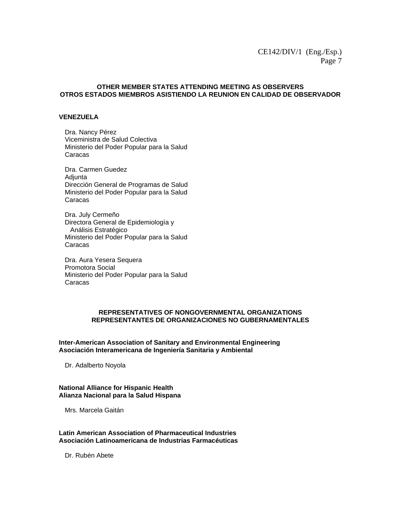# **OTHER MEMBER STATES ATTENDING MEETING AS OBSERVERS OTROS ESTADOS MIEMBROS ASISTIENDO LA REUNION EN CALIDAD DE OBSERVADOR**

#### **VENEZUELA**

Dra. Nancy Pérez Viceministra de Salud Colectiva Ministerio del Poder Popular para la Salud Caracas

Dra. Carmen Guedez **Adjunta** Dirección General de Programas de Salud Ministerio del Poder Popular para la Salud Caracas

Dra. July Cermeño Directora General de Epidemiología y Análisis Estratégico Ministerio del Poder Popular para la Salud Caracas

Dra. Aura Yesera Sequera Promotora Social Ministerio del Poder Popular para la Salud Caracas

# **REPRESENTATIVES OF NONGOVERNMENTAL ORGANIZATIONS REPRESENTANTES DE ORGANIZACIONES NO GUBERNAMENTALES**

**Inter-American Association of Sanitary and Environmental Engineering Asociación Interamericana de Ingeniería Sanitaria y Ambiental** 

Dr. Adalberto Noyola

## **National Alliance for Hispanic Health Alianza Nacional para la Salud Hispana**

Mrs. Marcela Gaitán

**Latin American Association of Pharmaceutical Industries Asociación Latinoamericana de Industrias Farmacéuticas** 

Dr. Rubén Abete